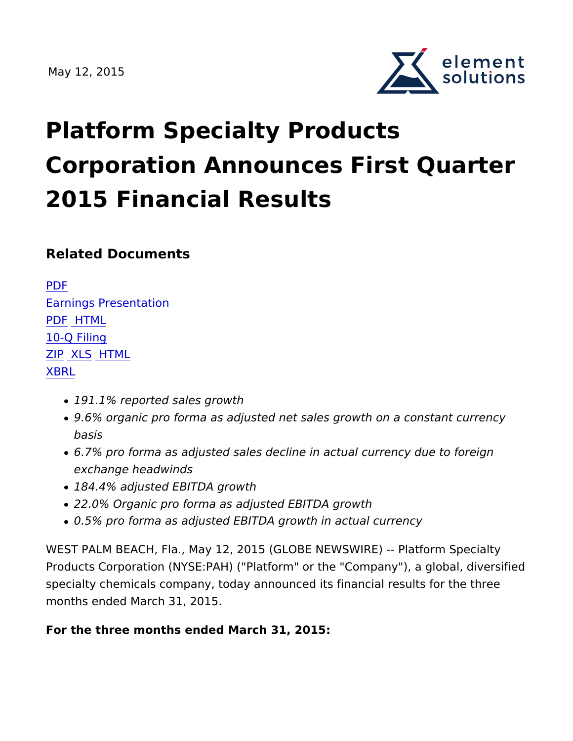

# Platform Specialty Products Corporation Announces First Qua 2015 Financial Results

Related Documents

PDF [Earnings Prese](https://d1io3yog0oux5.cloudfront.net/_40da4ae8603e80d6bf87865dc910d297/elementsolutionsinc/db/262/791/earnings_presentation/Q1_2015_Supplemental_FINAL.pdf)ntation [PD](https://ir.elementsolutionsinc.com/all-sec-filings/content/0001590714-15-000009/0001590714-15-000009.pdf)FHTML  $10 - F$  iling [ZI](https://ir.elementsolutionsinc.com/all-sec-filings/content/0001590714-15-000009/0001590714-15-000009-xbrl.zip)[P XL](http://content.stockpr.com/sec/0001590714-15-000009/Financial_Report.xlsx)SHTML [XBR](https://ir.elementsolutionsinc.com/all-sec-filings/xbrl_doc_only/1401)L

- 191.1% reported sales growth
- 9.6% organic pro forma as adjusted net sales growth on a con basis
- 6.7% pro forma as adjusted sales decline in actual currency d exchange headwinds
- 184.4% adjusted EBITDA growth
- 22.0% Organic pro forma as adjusted EBITDA growth
- 0.5% pro forma as adjusted EBITDA growth in actual currency

WEST PALM BEACH, Fla., May 12, 2015 (GLOBE NEWSWIRE) -- Pl Products Corporation (NYSE:PAH) ("Platform" or the "Company"), specialty chemicals company, today announced its financial resul months ended March 31, 2015.

For the three months ended March 31, 2015: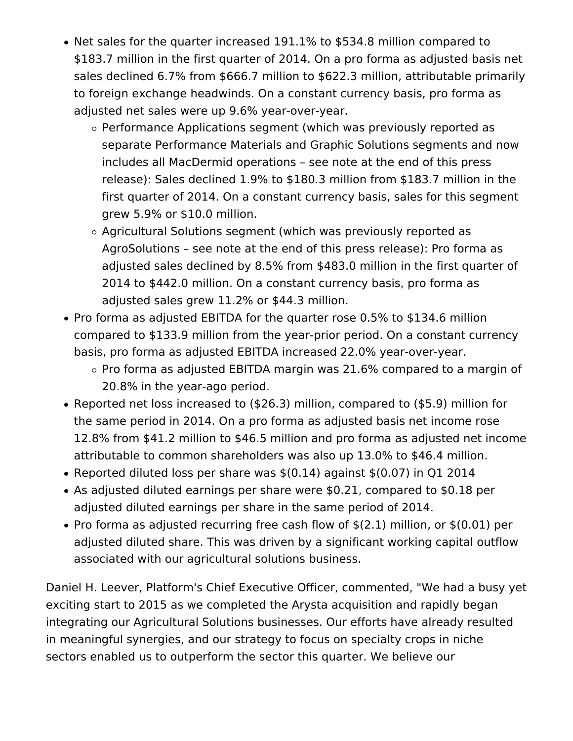- Net sales for the quarter increased 191.1% to \$534.8 million compared to \$183.7 million in the first quarter of 2014. On a pro forma as adjusted basis net sales declined 6.7% from \$666.7 million to \$622.3 million, attributable primarily to foreign exchange headwinds. On a constant currency basis, pro forma as adjusted net sales were up 9.6% year-over-year.
	- $\circ$  Performance Applications segment (which was previously reported as separate Performance Materials and Graphic Solutions segments and now includes all MacDermid operations – see note at the end of this press release): Sales declined 1.9% to \$180.3 million from \$183.7 million in the first quarter of 2014. On a constant currency basis, sales for this segment grew 5.9% or \$10.0 million.
	- $\circ$  Agricultural Solutions segment (which was previously reported as AgroSolutions – see note at the end of this press release): Pro forma as adjusted sales declined by 8.5% from \$483.0 million in the first quarter of 2014 to \$442.0 million. On a constant currency basis, pro forma as adjusted sales grew 11.2% or \$44.3 million.
- Pro forma as adjusted EBITDA for the quarter rose 0.5% to \$134.6 million compared to \$133.9 million from the year-prior period. On a constant currency basis, pro forma as adjusted EBITDA increased 22.0% year-over-year.
	- $\circ$  Pro forma as adjusted EBITDA margin was 21.6% compared to a margin of 20.8% in the year-ago period.
- Reported net loss increased to (\$26.3) million, compared to (\$5.9) million for the same period in 2014. On a pro forma as adjusted basis net income rose 12.8% from \$41.2 million to \$46.5 million and pro forma as adjusted net income attributable to common shareholders was also up 13.0% to \$46.4 million.
- Reported diluted loss per share was  $$(0.14)$  against  $$(0.07)$  in Q1 2014
- As adjusted diluted earnings per share were \$0.21, compared to \$0.18 per adjusted diluted earnings per share in the same period of 2014.
- Pro forma as adjusted recurring free cash flow of  $$(2.1)$  million, or  $$(0.01)$  per adjusted diluted share. This was driven by a significant working capital outflow associated with our agricultural solutions business.

Daniel H. Leever, Platform's Chief Executive Officer, commented, "We had a busy yet exciting start to 2015 as we completed the Arysta acquisition and rapidly began integrating our Agricultural Solutions businesses. Our efforts have already resulted in meaningful synergies, and our strategy to focus on specialty crops in niche sectors enabled us to outperform the sector this quarter. We believe our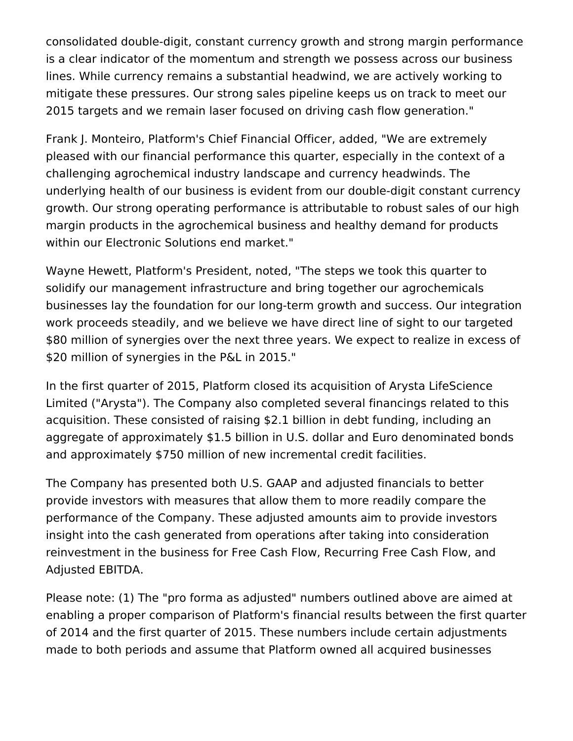consolidated double-digit, constant currency growth and strong margin performance is a clear indicator of the momentum and strength we possess across our business lines. While currency remains a substantial headwind, we are actively working to mitigate these pressures. Our strong sales pipeline keeps us on track to meet our 2015 targets and we remain laser focused on driving cash flow generation."

Frank J. Monteiro, Platform's Chief Financial Officer, added, "We are extremely pleased with our financial performance this quarter, especially in the context of a challenging agrochemical industry landscape and currency headwinds. The underlying health of our business is evident from our double-digit constant currency growth. Our strong operating performance is attributable to robust sales of our high margin products in the agrochemical business and healthy demand for products within our Electronic Solutions end market."

Wayne Hewett, Platform's President, noted, "The steps we took this quarter to solidify our management infrastructure and bring together our agrochemicals businesses lay the foundation for our long-term growth and success. Our integration work proceeds steadily, and we believe we have direct line of sight to our targeted \$80 million of synergies over the next three years. We expect to realize in excess of \$20 million of synergies in the P&L in 2015."

In the first quarter of 2015, Platform closed its acquisition of Arysta LifeScience Limited ("Arysta"). The Company also completed several financings related to this acquisition. These consisted of raising \$2.1 billion in debt funding, including an aggregate of approximately \$1.5 billion in U.S. dollar and Euro denominated bonds and approximately \$750 million of new incremental credit facilities.

The Company has presented both U.S. GAAP and adjusted financials to better provide investors with measures that allow them to more readily compare the performance of the Company. These adjusted amounts aim to provide investors insight into the cash generated from operations after taking into consideration reinvestment in the business for Free Cash Flow, Recurring Free Cash Flow, and Adjusted EBITDA.

Please note: (1) The "pro forma as adjusted" numbers outlined above are aimed at enabling a proper comparison of Platform's financial results between the first quarter of 2014 and the first quarter of 2015. These numbers include certain adjustments made to both periods and assume that Platform owned all acquired businesses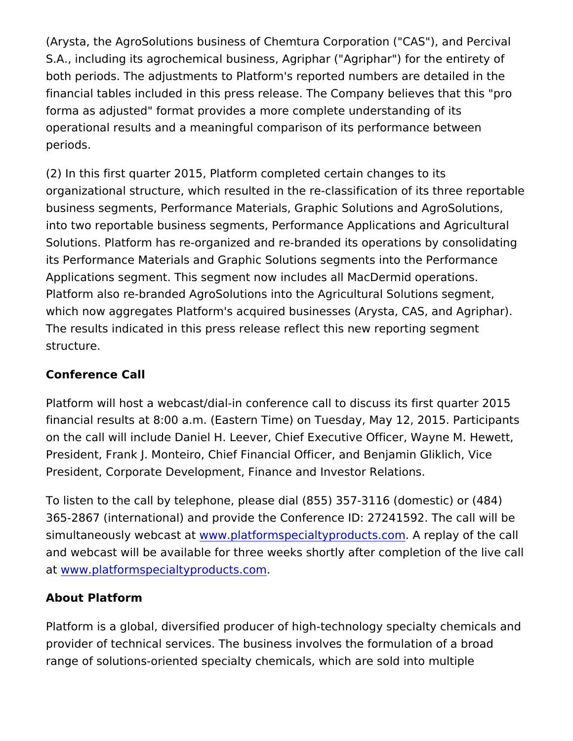(Arysta, the AgroSolutions business of Chemtura Corporation ("CA S.A., including its agrochemical business, Agriphar ("Agriphar") f both periods. The adjustments to Platform's reported numbers are financial tables included in this press release. The Company beliforma as adjusted" format provides a more complete understandin operational results and a meaningful comparison of its performan periods.

(2) In this first quarter 2015, Platform completed certain changes organizational structure, which resulted in the re-classification o business segments, Performance Materials, Graphic Solutions and into two reportable business segments, Performance Applications Solutions. Platform has re-organized and re-branded its operation its Performance Materials and Graphic Solutions segments into th Applications segment. This segment now includes all MacDermid o Platform also re-branded AgroSolutions into the Agricultural Solu which now aggregates Platform's acquired businesses (Arysta, CA The results indicated in this press release reflect this new report structure.

#### Conference Call

Platform will host a webcast/dial-in conference call to discuss its financial results at 8:00 a.m. (Eastern Time) on Tuesday, May 12, on the call will include Daniel H. Leever, Chief Executive Officer. President, Frank J. Monteiro, Chief Financial Officer, and Benjam President, Corporate Development, Finance and Investor Relation

To listen to the call by telephone, please dial (855) 357-3116 (do 365-2867 (international) and provide the Conference ID: 27241592 simultaneously webwaws t.platformspecialtyproductsepbany of the call and webcast will be available for three weeks shortly after completion a[t www.platformspecialtyprod](http://globenewswire.com/Tracker?data=SxMp2SHmL-cCm1zky85KcFCEJEQNBksiHCyengBEZfhdoymuXb9abEcMoutfsa7H6zVFinFpDXFdvIcVTd7Z_cmIimjuBIlcxflQ2TCPYhNkqQwG03uovFhKXN9jSbHx)ucts.com .

#### About Platform

Platform is a global, diversified producer of high-technology spec provider of technical services. The business involves the formula range of solutions-oriented specialty chemicals, which are sold ir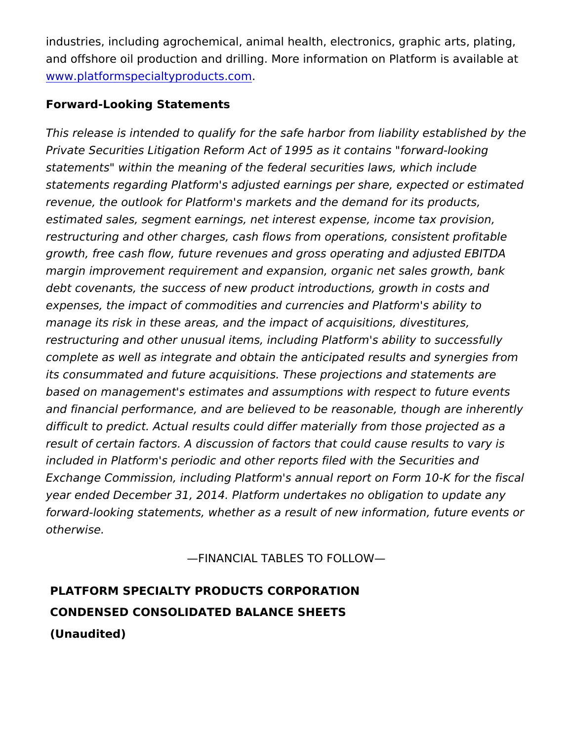industries, including agrochemical, animal health, electronics, gr and offshore oil production and drilling. More information on Plat [www.platformspecialtypro](http://www.platformspecialtyproducts.com/)ducts.com .

#### Forward-Looking Statements

This release is intended to qualify for the safe harbor from liability Private Securities Litigation Reform Act of 1995 as it contains "for statements" within the meaning of the federal securities laws, wh statements regaPdanform's adjusted earnings per share, expected revenue, the outlook for Platform's markets and the demand for it estimated sales, segment earnings, net interest expense, income restructuring and other charges, cash flows from operations, cons growth, free cash flow, future revenues and gross operating and a margin improvement requirement and expansion, organic net sales debt covenants, the success of new product introductions, growth expenses, the impact of commodities and currencies and Platform manage its risk in these areas, and the impact of acquisitions, di restructuring and other unusual items, including Platform's ability complete as well as integrate and obtain the anticipated results a its consummated and future acquisitions. These projections and s based on management's estimates and assumptions with respect to and financial performance, and are believed to be reasonable, tho difficult to predict. Actual results could differ materially from tho result of certain factors. A discussion of factors that could cause included in Platform's periodic and other reports filed with the Se Exchange Commission, including Platform's annual report on Form year ended December 31, 2014. Platform undertakes no obligation forward-looking statements, whether as a result of new information otherwise.

#### FINANCIAL TABLES TO FOLLOW

PLATFORM SPECIALTY PRODUCTS CORPORATION CONDENSED CONSOLIDATED BALANCE SHEETS (Unaudited)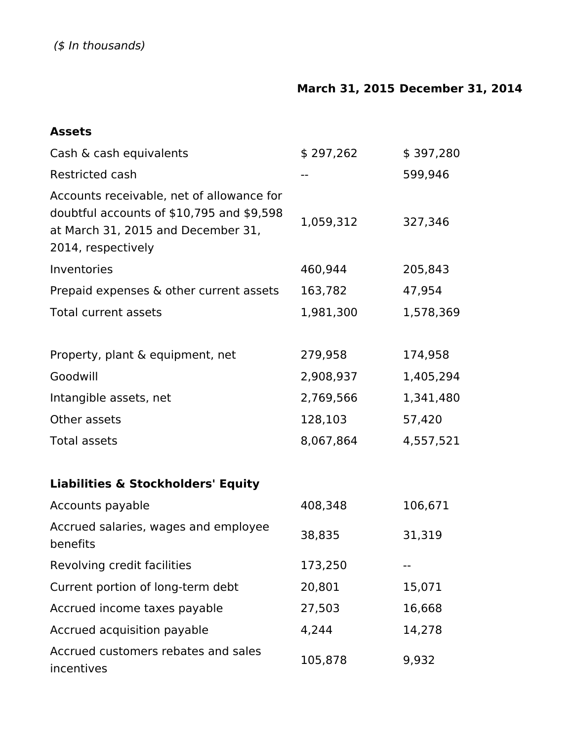### **March 31, 2015 December 31, 2014**

#### **Assets**

| Cash & cash equivalents                                                                                                                            | \$297,262 | \$397,280 |
|----------------------------------------------------------------------------------------------------------------------------------------------------|-----------|-----------|
| Restricted cash                                                                                                                                    |           | 599,946   |
| Accounts receivable, net of allowance for<br>doubtful accounts of \$10,795 and \$9,598<br>at March 31, 2015 and December 31,<br>2014, respectively | 1,059,312 | 327,346   |
| Inventories                                                                                                                                        | 460,944   | 205,843   |
| Prepaid expenses & other current assets                                                                                                            | 163,782   | 47,954    |
| <b>Total current assets</b>                                                                                                                        | 1,981,300 | 1,578,369 |
|                                                                                                                                                    |           |           |
| Property, plant & equipment, net                                                                                                                   | 279,958   | 174,958   |
| Goodwill                                                                                                                                           | 2,908,937 | 1,405,294 |
| Intangible assets, net                                                                                                                             | 2,769,566 | 1,341,480 |
| Other assets                                                                                                                                       | 128,103   | 57,420    |
| <b>Total assets</b>                                                                                                                                | 8,067,864 | 4,557,521 |
| <b>Liabilities &amp; Stockholders' Equity</b>                                                                                                      |           |           |
| Accounts payable                                                                                                                                   | 408,348   | 106,671   |
| Accrued salaries, wages and employee<br>benefits                                                                                                   | 38,835    | 31,319    |
| Revolving credit facilities                                                                                                                        | 173,250   |           |
| Current portion of long-term debt                                                                                                                  | 20,801    | 15,071    |
| Accrued income taxes payable                                                                                                                       | 27,503    | 16,668    |
| Accrued acquisition payable                                                                                                                        | 4,244     | 14,278    |
| Accrued customers rebates and sales<br>incentives                                                                                                  | 105,878   | 9,932     |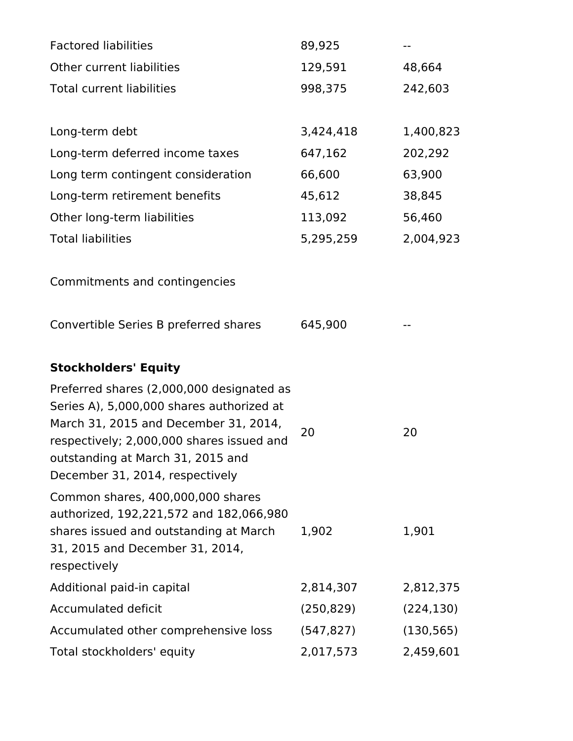| <b>Factored liabilities</b>                                                                                                                                                                                                                          | 89,925     |            |
|------------------------------------------------------------------------------------------------------------------------------------------------------------------------------------------------------------------------------------------------------|------------|------------|
| Other current liabilities                                                                                                                                                                                                                            | 129,591    | 48,664     |
| <b>Total current liabilities</b>                                                                                                                                                                                                                     | 998,375    | 242,603    |
|                                                                                                                                                                                                                                                      |            |            |
| Long-term debt                                                                                                                                                                                                                                       | 3,424,418  | 1,400,823  |
| Long-term deferred income taxes                                                                                                                                                                                                                      | 647,162    | 202,292    |
| Long term contingent consideration                                                                                                                                                                                                                   | 66,600     | 63,900     |
| Long-term retirement benefits                                                                                                                                                                                                                        | 45,612     | 38,845     |
| Other long-term liabilities                                                                                                                                                                                                                          | 113,092    | 56,460     |
| <b>Total liabilities</b>                                                                                                                                                                                                                             | 5,295,259  | 2,004,923  |
| Commitments and contingencies                                                                                                                                                                                                                        |            |            |
| Convertible Series B preferred shares                                                                                                                                                                                                                | 645,900    |            |
| <b>Stockholders' Equity</b>                                                                                                                                                                                                                          |            |            |
| Preferred shares (2,000,000 designated as<br>Series A), 5,000,000 shares authorized at<br>March 31, 2015 and December 31, 2014,<br>respectively; 2,000,000 shares issued and<br>outstanding at March 31, 2015 and<br>December 31, 2014, respectively | 20         | 20         |
| Common shares, 400,000,000 shares<br>authorized, 192,221,572 and 182,066,980<br>shares issued and outstanding at March<br>31, 2015 and December 31, 2014,<br>respectively                                                                            | 1,902      | 1,901      |
| Additional paid-in capital                                                                                                                                                                                                                           | 2,814,307  | 2,812,375  |
| <b>Accumulated deficit</b>                                                                                                                                                                                                                           | (250, 829) | (224, 130) |
| Accumulated other comprehensive loss                                                                                                                                                                                                                 | (547, 827) | (130, 565) |
| Total stockholders' equity                                                                                                                                                                                                                           | 2,017,573  | 2,459,601  |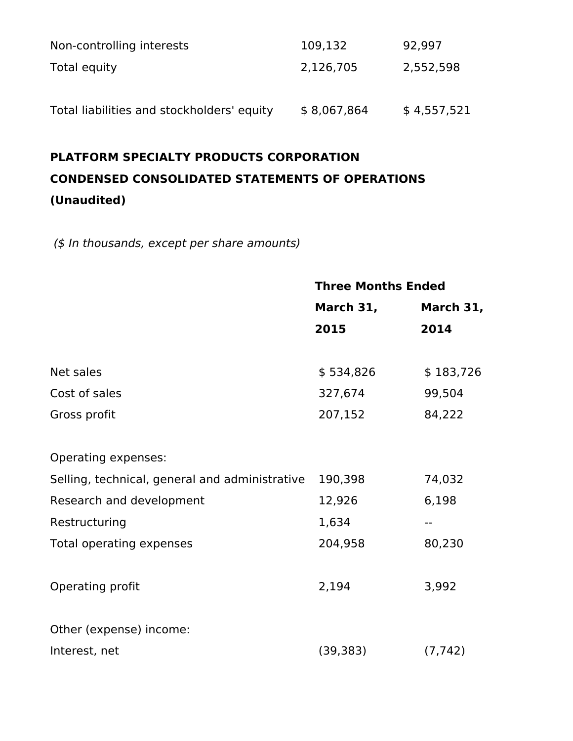| Non-controlling interests                  | 109,132     | 92,997      |
|--------------------------------------------|-------------|-------------|
| Total equity                               | 2,126,705   | 2,552,598   |
|                                            |             |             |
| Total liabilities and stockholders' equity | \$8,067,864 | \$4,557,521 |

### **PLATFORM SPECIALTY PRODUCTS CORPORATION CONDENSED CONSOLIDATED STATEMENTS OF OPERATIONS (Unaudited)**

 *(\$ In thousands, except per share amounts)*

|                                                | <b>Three Months Ended</b> |           |  |
|------------------------------------------------|---------------------------|-----------|--|
|                                                | March 31,                 | March 31, |  |
|                                                | 2015                      | 2014      |  |
| Net sales                                      | \$534,826                 | \$183,726 |  |
| Cost of sales                                  | 327,674                   | 99,504    |  |
| Gross profit                                   | 207,152                   | 84,222    |  |
| Operating expenses:                            |                           |           |  |
| Selling, technical, general and administrative | 190,398                   | 74,032    |  |
| Research and development                       | 12,926                    | 6,198     |  |
| Restructuring                                  | 1,634                     |           |  |
| Total operating expenses                       | 204,958                   | 80,230    |  |
| Operating profit                               | 2,194                     | 3,992     |  |
| Other (expense) income:                        |                           |           |  |
| Interest, net                                  | (39, 383)                 | (7, 742)  |  |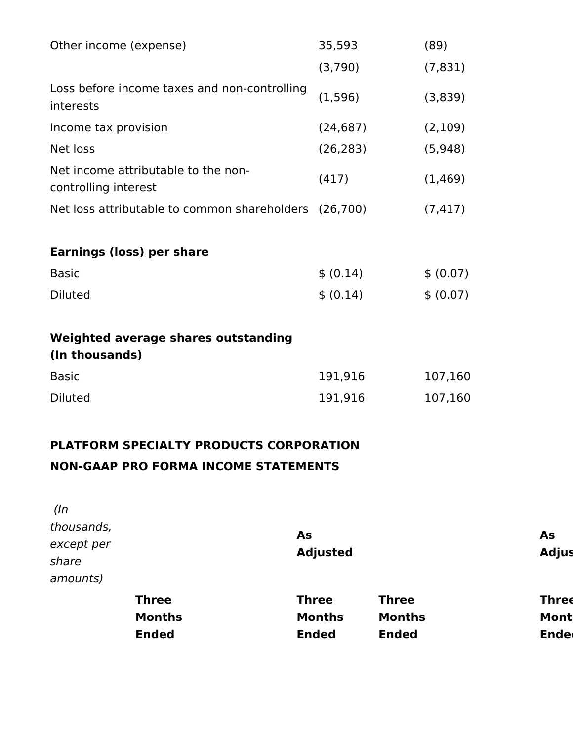| Other income (expense)                                      | 35,593    | (89)      |
|-------------------------------------------------------------|-----------|-----------|
|                                                             | (3,790)   | (7, 831)  |
| Loss before income taxes and non-controlling<br>interests   | (1, 596)  | (3,839)   |
| Income tax provision                                        | (24, 687) | (2,109)   |
| Net loss                                                    | (26, 283) | (5,948)   |
| Net income attributable to the non-<br>controlling interest | (417)     | (1, 469)  |
| Net loss attributable to common shareholders (26,700)       |           | (7, 417)  |
|                                                             |           |           |
| <b>Earnings (loss) per share</b>                            |           |           |
| <b>Basic</b>                                                | \$ (0.14) | \$ (0.07) |
| <b>Diluted</b>                                              | \$ (0.14) | \$ (0.07) |
|                                                             |           |           |
| <b>Weighted average shares outstanding</b>                  |           |           |
| (In thousands)                                              |           |           |
| <b>Basic</b>                                                | 191,916   | 107,160   |
| <b>Diluted</b>                                              | 191,916   | 107,160   |
|                                                             |           |           |

### **PLATFORM SPECIALTY PRODUCTS CORPORATION NON-GAAP PRO FORMA INCOME STATEMENTS**

|            | <b>Ended</b>  | <b>Ended</b>    | <b>Ended</b>  | <b>Ended</b> |
|------------|---------------|-----------------|---------------|--------------|
|            | <b>Months</b> | <b>Months</b>   | <b>Months</b> | <b>Mont</b>  |
|            | <b>Three</b>  | <b>Three</b>    | <b>Three</b>  | <b>Three</b> |
| amounts)   |               |                 |               |              |
| share      |               |                 |               |              |
| except per |               | <b>Adjusted</b> |               | <b>Adjus</b> |
| thousands, |               | As              |               | As           |
| $($ In     |               |                 |               |              |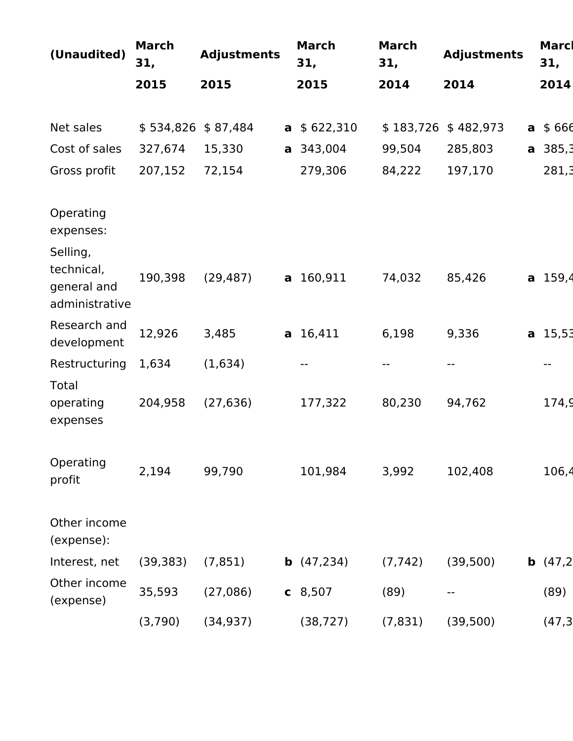| (Unaudited)                                             | <b>March</b><br>31, | <b>Adjustments</b> |              | <b>March</b><br>31,      | <b>March</b><br>31, | <b>Adjustments</b> |   | Marcl<br>31, |
|---------------------------------------------------------|---------------------|--------------------|--------------|--------------------------|---------------------|--------------------|---|--------------|
|                                                         | 2015                | 2015               |              | 2015                     | 2014                | 2014               |   | 2014         |
|                                                         |                     |                    |              |                          |                     |                    |   |              |
| Net sales                                               | \$534,826           | \$87,484           | $\mathsf{a}$ | \$622,310                | \$183,726           | \$482,973          | a | \$666        |
| Cost of sales                                           | 327,674             | 15,330             |              | a 343,004                | 99,504              | 285,803            |   | $a$ 385,3    |
| Gross profit                                            | 207,152             | 72,154             |              | 279,306                  | 84,222              | 197,170            |   | 281,3        |
|                                                         |                     |                    |              |                          |                     |                    |   |              |
| Operating<br>expenses:                                  |                     |                    |              |                          |                     |                    |   |              |
| Selling,<br>technical,<br>general and<br>administrative | 190,398             | (29, 487)          |              | a 160,911                | 74,032              | 85,426             |   | $a$ 159,4    |
| Research and<br>development                             | 12,926              | 3,485              |              | a 16,411                 | 6,198               | 9,336              |   | $a$ 15,53    |
| Restructuring                                           | 1,634               | (1,634)            |              | $\overline{\phantom{m}}$ |                     | --                 |   |              |
| Total<br>operating<br>expenses                          | 204,958             | (27, 636)          |              | 177,322                  | 80,230              | 94,762             |   | 174,9        |
| Operating<br>profit                                     | 2,194               | 99,790             |              | 101,984                  | 3,992               | 102,408            |   | 106,4        |
| Other income<br>(expense):                              |                     |                    |              |                          |                     |                    |   |              |
| Interest, net                                           | (39, 383)           | (7, 851)           |              | <b>b</b> $(47,234)$      | (7, 742)            | (39, 500)          |   | b(47,2)      |
| Other income<br>(expense)                               | 35,593              | (27,086)           |              | $c$ 8,507                | (89)                | --                 |   | (89)         |
|                                                         | (3,790)             | (34, 937)          |              | (38, 727)                | (7, 831)            | (39, 500)          |   | (47,3)       |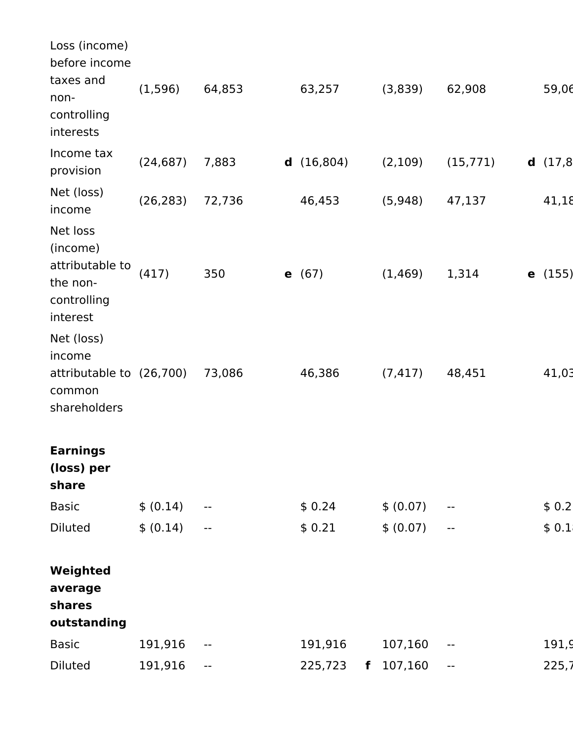| Loss (income)<br>before income                                                 |           |                          |                 |   |           |                            |                  |
|--------------------------------------------------------------------------------|-----------|--------------------------|-----------------|---|-----------|----------------------------|------------------|
| taxes and<br>non-<br>controlling<br>interests                                  | (1,596)   | 64,853                   | 63,257          |   | (3,839)   | 62,908                     | 59,06            |
| Income tax<br>provision                                                        | (24, 687) | 7,883                    | d(16,804)       |   | (2, 109)  | (15, 771)                  | d(17,8)          |
| Net (loss)<br>income                                                           | (26, 283) | 72,736                   | 46,453          |   | (5,948)   | 47,137                     | 41,18            |
| Net loss<br>(income)<br>attributable to<br>the non-<br>controlling<br>interest | (417)     | 350                      | <b>e</b> $(67)$ |   | (1, 469)  | 1,314                      | <b>e</b> $(155)$ |
| Net (loss)<br>income<br>attributable to (26,700)<br>common<br>shareholders     |           | 73,086                   | 46,386          |   | (7, 417)  | 48,451                     | 41,03            |
| <b>Earnings</b><br>(loss) per<br>share                                         |           |                          |                 |   |           |                            |                  |
| <b>Basic</b>                                                                   | \$ (0.14) | $- -$                    | \$0.24          |   | \$ (0.07) | --                         | \$0.2            |
| <b>Diluted</b>                                                                 | \$ (0.14) | $\overline{\phantom{m}}$ | \$0.21          |   | \$ (0.07) | $\overline{\phantom{m}}$   | \$0.1            |
| Weighted<br>average<br>shares<br>outstanding                                   |           |                          |                 |   |           |                            |                  |
| <b>Basic</b>                                                                   | 191,916   | $\overline{\phantom{m}}$ | 191,916         |   | 107,160   | $\overline{\phantom{a}}$ . | 191,9            |
| <b>Diluted</b>                                                                 | 191,916   | $\overline{\phantom{m}}$ | 225,723         | f | 107,160   | $\overline{\phantom{a}}$   | 225,7            |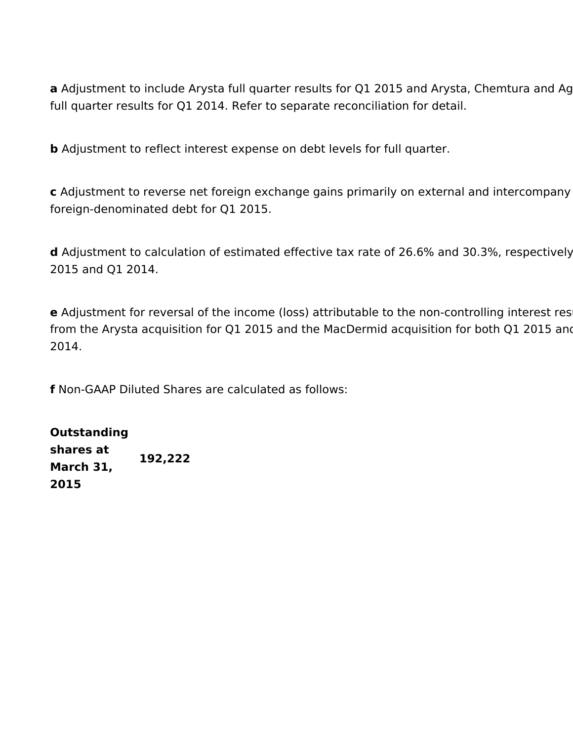**a** Adjustment to include Arysta full quarter results for Q1 2015 and Arysta, Chemtura and Ag full quarter results for Q1 2014. Refer to separate reconciliation for detail.

**b** Adjustment to reflect interest expense on debt levels for full quarter.

**c** Adjustment to reverse net foreign exchange gains primarily on external and intercompany foreign-denominated debt for Q1 2015.

**d** Adjustment to calculation of estimated effective tax rate of 26.6% and 30.3%, respectively 2015 and Q1 2014.

**e** Adjustment for reversal of the income (loss) attributable to the non-controlling interest res from the Arysta acquisition for Q1 2015 and the MacDermid acquisition for both Q1 2015 and 2014.

**f** Non-GAAP Diluted Shares are calculated as follows:

## **Outstanding**

**shares at March 31, 2015 192,222**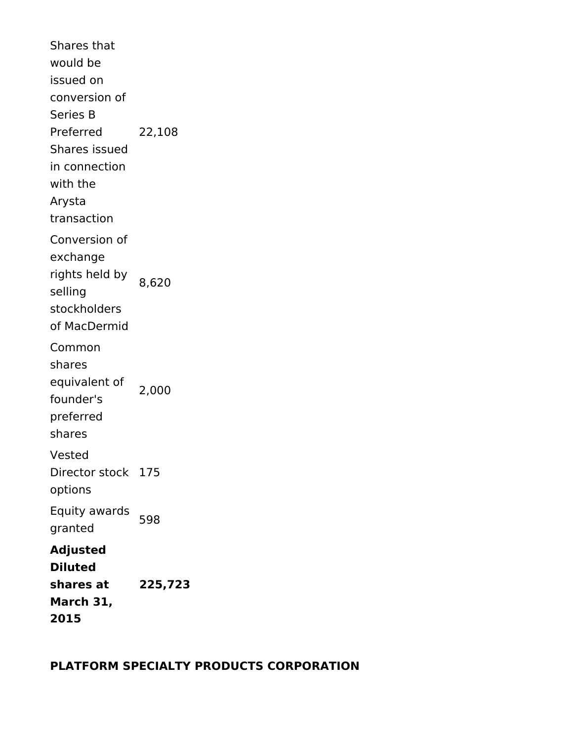Shares that would be issued on conversion of Series B Preferred Shares issued in connection with the Arysta transaction 22,108 Conversion of exchange rights held by selling stockholders of MacDermid 8,620 Common shares equivalent of founder's preferred shares 2,000 Vested Director stock 175 options Equity awards Equity awarus 598 **Adjusted Diluted shares at March 31, 2015 225,723**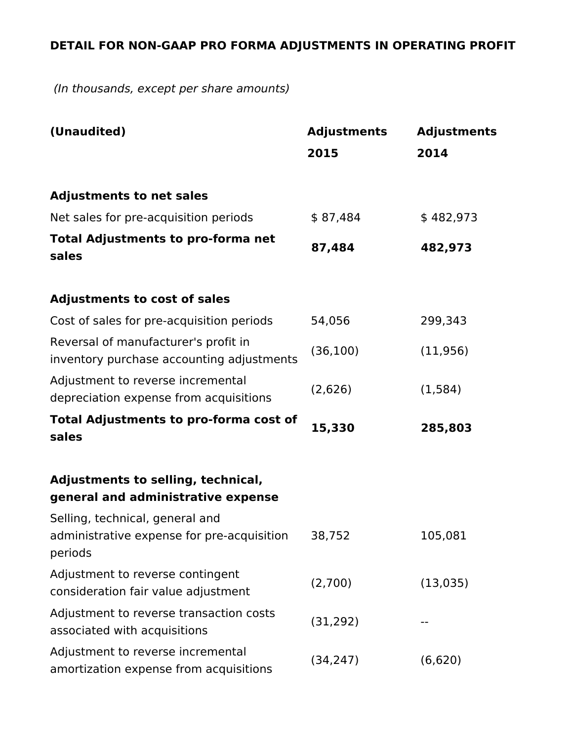### **DETAIL FOR NON-GAAP PRO FORMA ADJUSTMENTS IN OPERATING PROFIT**

 *(In thousands, except per share amounts)*

| (Unaudited)                                                                              | <b>Adjustments</b> | <b>Adjustments</b> |
|------------------------------------------------------------------------------------------|--------------------|--------------------|
|                                                                                          | 2015               | 2014               |
| <b>Adjustments to net sales</b>                                                          |                    |                    |
| Net sales for pre-acquisition periods                                                    | \$87,484           | \$482,973          |
| <b>Total Adjustments to pro-forma net</b><br>sales                                       | 87,484             | 482,973            |
| <b>Adjustments to cost of sales</b>                                                      |                    |                    |
| Cost of sales for pre-acquisition periods                                                | 54,056             | 299,343            |
| Reversal of manufacturer's profit in<br>inventory purchase accounting adjustments        | (36, 100)          | (11, 956)          |
| Adjustment to reverse incremental<br>depreciation expense from acquisitions              | (2,626)            | (1, 584)           |
| <b>Total Adjustments to pro-forma cost of</b><br>sales                                   | 15,330             | 285,803            |
| Adjustments to selling, technical,<br>general and administrative expense                 |                    |                    |
| Selling, technical, general and<br>administrative expense for pre-acquisition<br>periods | 38,752             | 105,081            |
| Adjustment to reverse contingent<br>consideration fair value adjustment                  | (2,700)            | (13,035)           |
| Adjustment to reverse transaction costs<br>associated with acquisitions                  | (31, 292)          |                    |
| Adjustment to reverse incremental<br>amortization expense from acquisitions              | (34, 247)          | (6,620)            |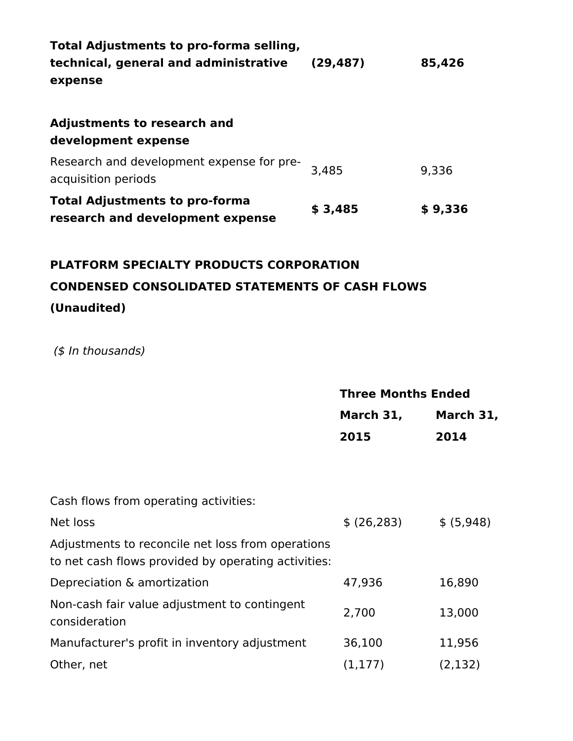| Total Adjustments to pro-forma selling, |         |  |  |  |  |  |
|-----------------------------------------|---------|--|--|--|--|--|
| (29, 487)                               | 85,426  |  |  |  |  |  |
|                                         |         |  |  |  |  |  |
|                                         |         |  |  |  |  |  |
|                                         |         |  |  |  |  |  |
|                                         |         |  |  |  |  |  |
| 3.485                                   | 9,336   |  |  |  |  |  |
|                                         |         |  |  |  |  |  |
| \$3,485                                 | \$9,336 |  |  |  |  |  |
|                                         |         |  |  |  |  |  |

### **PLATFORM SPECIALTY PRODUCTS CORPORATION CONDENSED CONSOLIDATED STATEMENTS OF CASH FLOWS (Unaudited)**

 *(\$ In thousands)*

|                                                                                                          | <b>Three Months Ended</b> |                  |  |
|----------------------------------------------------------------------------------------------------------|---------------------------|------------------|--|
|                                                                                                          | March 31,                 | <b>March 31,</b> |  |
|                                                                                                          | 2015                      | 2014             |  |
|                                                                                                          |                           |                  |  |
|                                                                                                          |                           |                  |  |
| Cash flows from operating activities:                                                                    |                           |                  |  |
| Net loss                                                                                                 | \$ (26, 283)              | \$ (5,948)       |  |
| Adjustments to reconcile net loss from operations<br>to net cash flows provided by operating activities: |                           |                  |  |
| Depreciation & amortization                                                                              | 47,936                    | 16,890           |  |
| Non-cash fair value adjustment to contingent<br>consideration                                            | 2,700                     | 13,000           |  |
| Manufacturer's profit in inventory adjustment                                                            | 36,100                    | 11,956           |  |
| Other, net                                                                                               | (1, 177)                  | (2, 132)         |  |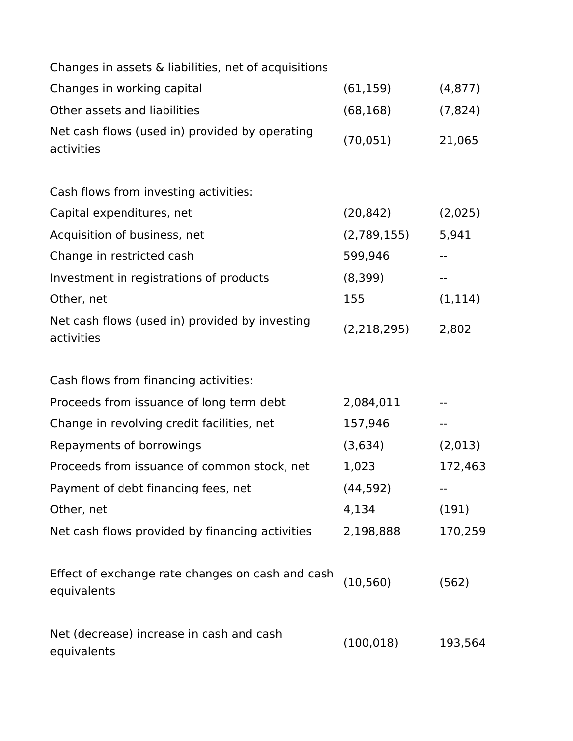| Changes in assets & liabilities, net of acquisitions            |               |                   |
|-----------------------------------------------------------------|---------------|-------------------|
| Changes in working capital                                      | (61, 159)     | (4, 877)          |
| Other assets and liabilities                                    | (68, 168)     | (7, 824)          |
| Net cash flows (used in) provided by operating<br>activities    | (70, 051)     | 21,065            |
| Cash flows from investing activities:                           |               |                   |
| Capital expenditures, net                                       | (20, 842)     | (2,025)           |
| Acquisition of business, net                                    | (2,789,155)   | 5,941             |
| Change in restricted cash                                       | 599,946       | $\qquad \qquad -$ |
| Investment in registrations of products                         | (8,399)       | --                |
| Other, net                                                      | 155           | (1, 114)          |
| Net cash flows (used in) provided by investing<br>activities    | (2, 218, 295) | 2,802             |
| Cash flows from financing activities:                           |               |                   |
| Proceeds from issuance of long term debt                        | 2,084,011     |                   |
| Change in revolving credit facilities, net                      | 157,946       | --                |
| Repayments of borrowings                                        | (3,634)       | (2,013)           |
| Proceeds from issuance of common stock, net                     | 1,023         | 172,463           |
| Payment of debt financing fees, net                             | (44, 592)     |                   |
| Other, net                                                      | 4,134         | (191)             |
| Net cash flows provided by financing activities                 | 2,198,888     | 170,259           |
| Effect of exchange rate changes on cash and cash<br>equivalents | (10, 560)     | (562)             |
| Net (decrease) increase in cash and cash<br>equivalents         | (100, 018)    | 193,564           |